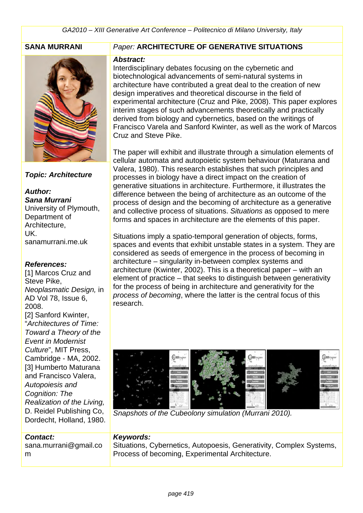

## *Topic: Architecture*

*Author: Sana Murrani* University of Plymouth, Department of Architecture, UK. sanamurrani.me.uk

## *References:*

[1] Marcos Cruz and Steve Pike, *Neoplasmatic Design,* in AD Vol 78, Issue 6, 2008. [2] Sanford Kwinter, "*Architectures of Time: Toward a Theory of the* 

*Event in Modernist Culture*", MIT Press, Cambridge - MA, 2002. [3] Humberto Maturana and Francisco Valera, *Autopoiesis and Cognition: The Realization of the Living,* D. Reidel Publishing Co, Dordecht, Holland, 1980.

### *Contact:*

sana.murrani@gmail.co m

## **SANA MURRANI** *Paper:* **ARCHITECTURE OF GENERATIVE SITUATIONS**

#### *Abstract:*

Interdisciplinary debates focusing on the cybernetic and biotechnological advancements of semi-natural systems in architecture have contributed a great deal to the creation of new design imperatives and theoretical discourse in the field of experimental architecture (Cruz and Pike, 2008). This paper explores interim stages of such advancements theoretically and practically derived from biology and cybernetics, based on the writings of Francisco Varela and Sanford Kwinter, as well as the work of Marcos Cruz and Steve Pike.

The paper will exhibit and illustrate through a simulation elements of cellular automata and autopoietic system behaviour (Maturana and Valera, 1980). This research establishes that such principles and processes in biology have a direct impact on the creation of generative situations in architecture. Furthermore, it illustrates the difference between the being of architecture as an outcome of the process of design and the becoming of architecture as a generative and collective process of situations. *Situations* as opposed to mere forms and spaces in architecture are the elements of this paper.

Situations imply a spatio-temporal generation of objects, forms, spaces and events that exhibit unstable states in a system. They are considered as seeds of emergence in the process of becoming in architecture – singularity in-between complex systems and architecture (Kwinter, 2002). This is a theoretical paper – with an element of practice – that seeks to distinguish between generativity for the process of being in architecture and generativity for the *process of becoming*, where the latter is the central focus of this research.



*Snapshots of the Cubeolony simulation (Murrani 2010).*

## *Keywords:*

Situations, Cybernetics, Autopoesis, Generativity, Complex Systems, Process of becoming, Experimental Architecture.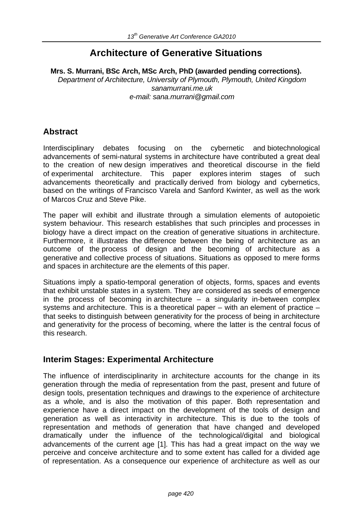# **Architecture of Generative Situations**

**Mrs. S. Murrani, BSc Arch, MSc Arch, PhD (awarded pending corrections).** *Department of Architecture, University of Plymouth, Plymouth, United Kingdom sanamurrani.me.uk e-mail: sana.murrani@gmail.com*

# **Abstract**

Interdisciplinary debates focusing on the cybernetic and biotechnological advancements of semi-natural systems in architecture have contributed a great deal to the creation of new design imperatives and theoretical discourse in the field of experimental architecture. This paper explores interim stages of such advancements theoretically and practically derived from biology and cybernetics, based on the writings of Francisco Varela and Sanford Kwinter, as well as the work of Marcos Cruz and Steve Pike.

The paper will exhibit and illustrate through a simulation elements of autopoietic system behaviour. This research establishes that such principles and processes in biology have a direct impact on the creation of generative situations in architecture. Furthermore, it illustrates the difference between the being of architecture as an outcome of the process of design and the becoming of architecture as a generative and collective process of situations. Situations as opposed to mere forms and spaces in architecture are the elements of this paper.

Situations imply a spatio-temporal generation of objects, forms, spaces and events that exhibit unstable states in a system. They are considered as seeds of emergence in the process of becoming in architecture  $-$  a singularity in-between complex systems and architecture. This is a theoretical paper – with an element of practice – that seeks to distinguish between generativity for the process of being in architecture and generativity for the process of becoming, where the latter is the central focus of this research.

# **Interim Stages: Experimental Architecture**

The influence of interdisciplinarity in architecture accounts for the change in its generation through the media of representation from the past, present and future of design tools, presentation techniques and drawings to the experience of architecture as a whole, and is also the motivation of this paper. Both representation and experience have a direct impact on the development of the tools of design and generation as well as interactivity in architecture. This is due to the tools of representation and methods of generation that have changed and developed dramatically under the influence of the technological/digital and biological advancements of the current age [1]. This has had a great impact on the way we perceive and conceive architecture and to some extent has called for a divided age of representation. As a consequence our experience of architecture as well as our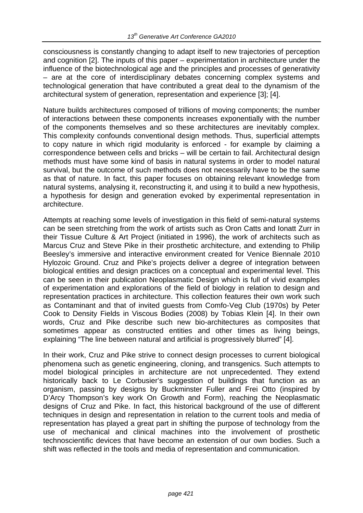consciousness is constantly changing to adapt itself to new trajectories of perception and cognition [2]. The inputs of this paper – experimentation in architecture under the influence of the biotechnological age and the principles and processes of generativity – are at the core of interdisciplinary debates concerning complex systems and technological generation that have contributed a great deal to the dynamism of the architectural system of generation, representation and experience [3]; [4].

Nature builds architectures composed of trillions of moving components; the number of interactions between these components increases exponentially with the number of the components themselves and so these architectures are inevitably complex. This complexity confounds conventional design methods. Thus, superficial attempts to copy nature in which rigid modularity is enforced - for example by claiming a correspondence between cells and bricks – will be certain to fail. Architectural design methods must have some kind of basis in natural systems in order to model natural survival, but the outcome of such methods does not necessarily have to be the same as that of nature. In fact, this paper focuses on obtaining relevant knowledge from natural systems, analysing it, reconstructing it, and using it to build a new hypothesis, a hypothesis for design and generation evoked by experimental representation in architecture.

Attempts at reaching some levels of investigation in this field of semi-natural systems can be seen stretching from the work of artists such as Oron Catts and Ionatt Zurr in their Tissue Culture & Art Project (initiated in 1996), the work of architects such as Marcus Cruz and Steve Pike in their prosthetic architecture, and extending to Philip Beesley's immersive and interactive environment created for Venice Biennale 2010 Hylozoic Ground. Cruz and Pike's projects deliver a degree of integration between biological entities and design practices on a conceptual and experimental level. This can be seen in their publication Neoplasmatic Design which is full of vivid examples of experimentation and explorations of the field of biology in relation to design and representation practices in architecture. This collection features their own work such as Contaminant and that of invited guests from Comfo-Veg Club (1970s) by Peter Cook to Density Fields in Viscous Bodies (2008) by Tobias Klein [4]. In their own words, Cruz and Pike describe such new bio-architectures as composites that sometimes appear as constructed entities and other times as living beings, explaining "The line between natural and artificial is progressively blurred" [4].

In their work, Cruz and Pike strive to connect design processes to current biological phenomena such as genetic engineering, cloning, and transgenics. Such attempts to model biological principles in architecture are not unprecedented. They extend historically back to Le Corbusier's suggestion of buildings that function as an organism, passing by designs by Buckminster Fuller and Frei Otto (inspired by D'Arcy Thompson's key work On Growth and Form), reaching the Neoplasmatic designs of Cruz and Pike. In fact, this historical background of the use of different techniques in design and representation in relation to the current tools and media of representation has played a great part in shifting the purpose of technology from the use of mechanical and clinical machines into the involvement of prosthetic technoscientific devices that have become an extension of our own bodies. Such a shift was reflected in the tools and media of representation and communication.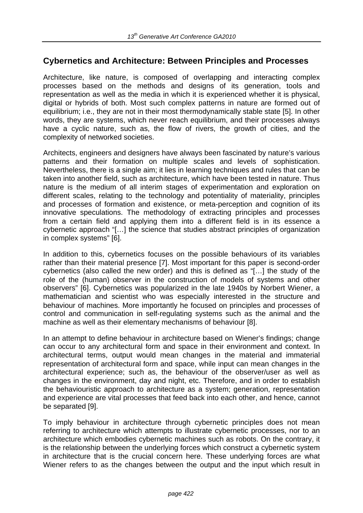# **Cybernetics and Architecture: Between Principles and Processes**

Architecture, like nature, is composed of overlapping and interacting complex processes based on the methods and designs of its generation, tools and representation as well as the media in which it is experienced whether it is physical, digital or hybrids of both. Most such complex patterns in nature are formed out of equilibrium; i.e., they are not in their most thermodynamically stable state [5]. In other words, they are systems, which never reach equilibrium, and their processes always have a cyclic nature, such as, the flow of rivers, the growth of cities, and the complexity of networked societies.

Architects, engineers and designers have always been fascinated by nature's various patterns and their formation on multiple scales and levels of sophistication. Nevertheless, there is a single aim; it lies in learning techniques and rules that can be taken into another field, such as architecture, which have been tested in nature. Thus nature is the medium of all interim stages of experimentation and exploration on different scales, relating to the technology and potentiality of materiality, principles and processes of formation and existence, or meta-perception and cognition of its innovative speculations. The methodology of extracting principles and processes from a certain field and applying them into a different field is in its essence a cybernetic approach "[…] the science that studies abstract principles of organization in complex systems" [6].

In addition to this, cybernetics focuses on the possible behaviours of its variables rather than their material presence [7]. Most important for this paper is second-order cybernetics (also called the new order) and this is defined as "[…] the study of the role of the (human) observer in the construction of models of systems and other observers" [6]. Cybernetics was popularized in the late 1940s by Norbert Wiener, a mathematician and scientist who was especially interested in the structure and behaviour of machines. More importantly he focused on principles and processes of control and communication in self-regulating systems such as the animal and the machine as well as their elementary mechanisms of behaviour [8].

In an attempt to define behaviour in architecture based on Wiener's findings; change can occur to any architectural form and space in their environment and context. In architectural terms, output would mean changes in the material and immaterial representation of architectural form and space, while input can mean changes in the architectural experience; such as, the behaviour of the observer/user as well as changes in the environment, day and night, etc. Therefore, and in order to establish the behaviouristic approach to architecture as a system; generation, representation and experience are vital processes that feed back into each other, and hence, cannot be separated [9].

To imply behaviour in architecture through cybernetic principles does not mean referring to architecture which attempts to illustrate cybernetic processes, nor to an architecture which embodies cybernetic machines such as robots. On the contrary, it is the relationship between the underlying forces which construct a cybernetic system in architecture that is the crucial concern here. These underlying forces are what Wiener refers to as the changes between the output and the input which result in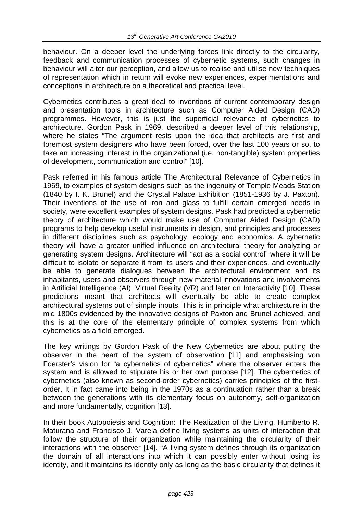behaviour. On a deeper level the underlying forces link directly to the circularity, feedback and communication processes of cybernetic systems, such changes in behaviour will alter our perception, and allow us to realise and utilise new techniques of representation which in return will evoke new experiences, experimentations and conceptions in architecture on a theoretical and practical level.

Cybernetics contributes a great deal to inventions of current contemporary design and presentation tools in architecture such as Computer Aided Design (CAD) programmes. However, this is just the superficial relevance of cybernetics to architecture. Gordon Pask in 1969, described a deeper level of this relationship, where he states "The argument rests upon the idea that architects are first and foremost system designers who have been forced, over the last 100 years or so, to take an increasing interest in the organizational (i.e. non-tangible) system properties of development, communication and control" [10].

Pask referred in his famous article The Architectural Relevance of Cybernetics in 1969, to examples of system designs such as the ingenuity of Temple Meads Station (1840 by I. K. Brunel) and the Crystal Palace Exhibition (1851-1936 by J. Paxton). Their inventions of the use of iron and glass to fulfill certain emerged needs in society, were excellent examples of system designs. Pask had predicted a cybernetic theory of architecture which would make use of Computer Aided Design (CAD) programs to help develop useful instruments in design, and principles and processes in different disciplines such as psychology, ecology and economics. A cybernetic theory will have a greater unified influence on architectural theory for analyzing or generating system designs. Architecture will "act as a social control" where it will be difficult to isolate or separate it from its users and their experiences, and eventually be able to generate dialogues between the architectural environment and its inhabitants, users and observers through new material innovations and involvements in Artificial Intelligence (AI), Virtual Reality (VR) and later on Interactivity [10]. These predictions meant that architects will eventually be able to create complex architectural systems out of simple inputs. This is in principle what architecture in the mid 1800s evidenced by the innovative designs of Paxton and Brunel achieved, and this is at the core of the elementary principle of complex systems from which cybernetics as a field emerged.

The key writings by Gordon Pask of the New Cybernetics are about putting the observer in the heart of the system of observation [11] and emphasising von Foerster's vision for "a cybernetics of cybernetics" where the observer enters the system and is allowed to stipulate his or her own purpose [12]. The cybernetics of cybernetics (also known as second-order cybernetics) carries principles of the firstorder. It in fact came into being in the 1970s as a continuation rather than a break between the generations with its elementary focus on autonomy, self-organization and more fundamentally, cognition [13].

In their book Autopoiesis and Cognition: The Realization of the Living, Humberto R. Maturana and Francisco J. Varela define living systems as units of interaction that follow the structure of their organization while maintaining the circularity of their interactions with the observer [14]. "A living system defines through its organization the domain of all interactions into which it can possibly enter without losing its identity, and it maintains its identity only as long as the basic circularity that defines it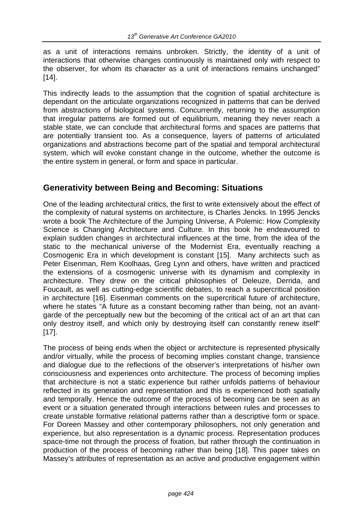as a unit of interactions remains unbroken. Strictly, the identity of a unit of interactions that otherwise changes continuously is maintained only with respect to the observer, for whom its character as a unit of interactions remains unchanged" [14].

This indirectly leads to the assumption that the cognition of spatial architecture is dependant on the articulate organizations recognized in patterns that can be derived from abstractions of biological systems. Concurrently, returning to the assumption that irregular patterns are formed out of equilibrium, meaning they never reach a stable state, we can conclude that architectural forms and spaces are patterns that are potentially transient too. As a consequence, layers of patterns of articulated organizations and abstractions become part of the spatial and temporal architectural system, which will evoke constant change in the outcome, whether the outcome is the entire system in general, or form and space in particular.

# **Generativity between Being and Becoming: Situations**

One of the leading architectural critics, the first to write extensively about the effect of the complexity of natural systems on architecture, is Charles Jencks. In 1995 Jencks wrote a book The Architecture of the Jumping Universe, A Polemic: How Complexity Science is Changing Architecture and Culture. In this book he endeavoured to explain sudden changes in architectural influences at the time, from the idea of the static to the mechanical universe of the Modernist Era, eventually reaching a Cosmogenic Era in which development is constant [15]. Many architects such as Peter Eisenman, Rem Koolhaas, Greg Lynn and others, have written and practiced the extensions of a cosmogenic universe with its dynamism and complexity in architecture. They drew on the critical philosophies of Deleuze, Derrida, and Foucault, as well as cutting-edge scientific debates, to reach a supercritical position in architecture [16]. Eisenman comments on the supercritical future of architecture, where he states "A future as a constant becoming rather than being, not an avantgarde of the perceptually new but the becoming of the critical act of an art that can only destroy itself, and which only by destroying itself can constantly renew itself" [17].

The process of being ends when the object or architecture is represented physically and/or virtually, while the process of becoming implies constant change, transience and dialogue due to the reflections of the observer's interpretations of his/her own consciousness and experiences onto architecture. The process of becoming implies that architecture is not a static experience but rather unfolds patterns of behaviour reflected in its generation and representation and this is experienced both spatially and temporally. Hence the outcome of the process of becoming can be seen as an event or a situation generated through interactions between rules and processes to create unstable formative relational patterns rather than a descriptive form or space. For Doreen Massey and other contemporary philosophers, not only generation and experience, but also representation is a dynamic process. Representation produces space-time not through the process of fixation, but rather through the continuation in production of the process of becoming rather than being [18]. This paper takes on Massey's attributes of representation as an active and productive engagement within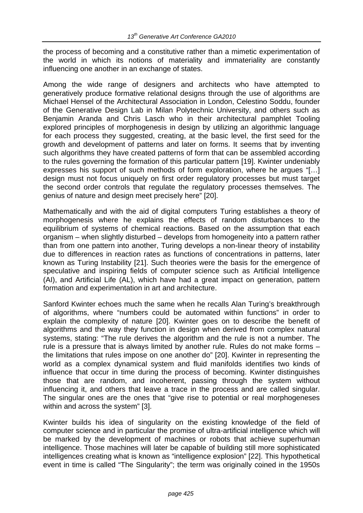the process of becoming and a constitutive rather than a mimetic experimentation of the world in which its notions of materiality and immateriality are constantly influencing one another in an exchange of states.

Among the wide range of designers and architects who have attempted to generatively produce formative relational designs through the use of algorithms are Michael Hensel of the Architectural Association in London, Celestino Soddu, founder of the Generative Design Lab in Milan Polytechnic University, and others such as Benjamin Aranda and Chris Lasch who in their architectural pamphlet Tooling explored principles of morphogenesis in design by utilizing an algorithmic language for each process they suggested, creating, at the basic level, the first seed for the growth and development of patterns and later on forms. It seems that by inventing such algorithms they have created patterns of form that can be assembled according to the rules governing the formation of this particular pattern [19]. Kwinter undeniably expresses his support of such methods of form exploration, where he argues "[…] design must not focus uniquely on first order regulatory processes but must target the second order controls that regulate the regulatory processes themselves. The genius of nature and design meet precisely here" [20].

Mathematically and with the aid of digital computers Turing establishes a theory of morphogenesis where he explains the effects of random disturbances to the equilibrium of systems of chemical reactions. Based on the assumption that each organism – when slightly disturbed – develops from homogeneity into a pattern rather than from one pattern into another, Turing develops a non-linear theory of instability due to differences in reaction rates as functions of concentrations in patterns, later known as Turing Instability [21]. Such theories were the basis for the emergence of speculative and inspiring fields of computer science such as Artificial Intelligence (AI), and Artificial Life (AL), which have had a great impact on generation, pattern formation and experimentation in art and architecture.

Sanford Kwinter echoes much the same when he recalls Alan Turing's breakthrough of algorithms, where "numbers could be automated within functions" in order to explain the complexity of nature [20]. Kwinter goes on to describe the benefit of algorithms and the way they function in design when derived from complex natural systems, stating: "The rule derives the algorithm and the rule is not a number. The rule is a pressure that is always limited by another rule. Rules do not make forms – the limitations that rules impose on one another do" [20]. Kwinter in representing the world as a complex dynamical system and fluid manifolds identifies two kinds of influence that occur in time during the process of becoming. Kwinter distinguishes those that are random, and incoherent, passing through the system without influencing it, and others that leave a trace in the process and are called singular. The singular ones are the ones that "give rise to potential or real morphogeneses within and across the system" [3].

Kwinter builds his idea of singularity on the existing knowledge of the field of computer science and in particular the promise of ultra-artificial intelligence which will be marked by the development of machines or robots that achieve superhuman intelligence. Those machines will later be capable of building still more sophisticated intelligences creating what is known as "intelligence explosion" [22]. This hypothetical event in time is called "The Singularity"; the term was originally coined in the 1950s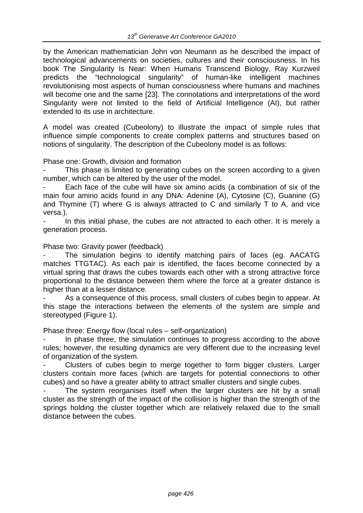by the American mathematician John von Neumann as he described the impact of technological advancements on societies, cultures and their consciousness. In his book The Singularity Is Near: When Humans Transcend Biology, Ray Kurzweil predicts the "technological singularity" of human-like intelligent machines revolutionising most aspects of human consciousness where humans and machines will become one and the same [23]. The connotations and interpretations of the word Singularity were not limited to the field of Artificial Intelligence (AI), but rather extended to its use in architecture.

A model was created (Cubeolony) to illustrate the impact of simple rules that influence simple components to create complex patterns and structures based on notions of singularity. The description of the Cubeolony model is as follows:

### Phase one: Growth, division and formation

This phase is limited to generating cubes on the screen according to a given number, which can be altered by the user of the model.

Each face of the cube will have six amino acids (a combination of six of the main four amino acids found in any DNA: Adenine (A), Cytosine (C), Guanine (G) and Thymine (T) where G is always attracted to C and similarly T to A, and vice versa.).

In this initial phase, the cubes are not attracted to each other. It is merely a generation process.

Phase two: Gravity power (feedback)

The simulation begins to identify matching pairs of faces (eg. AACATG matches TTGTAC). As each pair is identified, the faces become connected by a virtual spring that draws the cubes towards each other with a strong attractive force proportional to the distance between them where the force at a greater distance is higher than at a lesser distance.

As a consequence of this process, small clusters of cubes begin to appear. At this stage the interactions between the elements of the system are simple and stereotyped (Figure 1).

Phase three: Energy flow (local rules – self-organization)

In phase three, the simulation continues to progress according to the above rules; however, the resulting dynamics are very different due to the increasing level of organization of the system.

Clusters of cubes begin to merge together to form bigger clusters. Larger clusters contain more faces (which are targets for potential connections to other cubes) and so have a greater ability to attract smaller clusters and single cubes.

The system reorganises itself when the larger clusters are hit by a small cluster as the strength of the impact of the collision is higher than the strength of the springs holding the cluster together which are relatively relaxed due to the small distance between the cubes.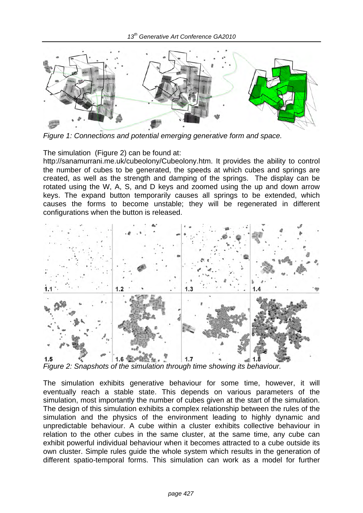

*Figure 1: Connections and potential emerging generative form and space.* 

The simulation (Figure 2) can be found at:

http://sanamurrani.me.uk/cubeolony/Cubeolony.htm. It provides the ability to control the number of cubes to be generated, the speeds at which cubes and springs are created, as well as the strength and damping of the springs. The display can be rotated using the W, A, S, and D keys and zoomed using the up and down arrow keys. The expand button temporarily causes all springs to be extended, which causes the forms to become unstable; they will be regenerated in different configurations when the button is released.



*Figure 2: Snapshots of the simulation through time showing its behaviour.* 

The simulation exhibits generative behaviour for some time, however, it will eventually reach a stable state. This depends on various parameters of the simulation, most importantly the number of cubes given at the start of the simulation. The design of this simulation exhibits a complex relationship between the rules of the simulation and the physics of the environment leading to highly dynamic and unpredictable behaviour. A cube within a cluster exhibits collective behaviour in relation to the other cubes in the same cluster, at the same time, any cube can exhibit powerful individual behaviour when it becomes attracted to a cube outside its own cluster. Simple rules guide the whole system which results in the generation of different spatio-temporal forms. This simulation can work as a model for further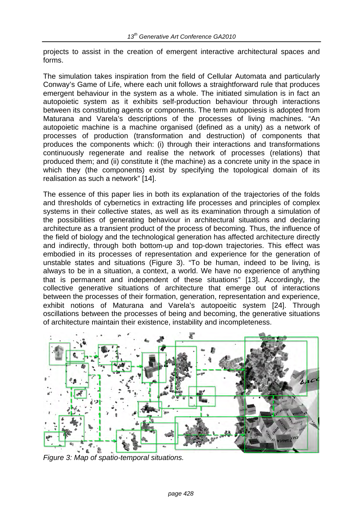projects to assist in the creation of emergent interactive architectural spaces and forms.

The simulation takes inspiration from the field of Cellular Automata and particularly Conway's Game of Life, where each unit follows a straightforward rule that produces emergent behaviour in the system as a whole. The initiated simulation is in fact an autopoietic system as it exhibits self-production behaviour through interactions between its constituting agents or components. The term autopoiesis is adopted from Maturana and Varela's descriptions of the processes of living machines. "An autopoietic machine is a machine organised (defined as a unity) as a network of processes of production (transformation and destruction) of components that produces the components which: (i) through their interactions and transformations continuously regenerate and realise the network of processes (relations) that produced them; and (ii) constitute it (the machine) as a concrete unity in the space in which they (the components) exist by specifying the topological domain of its realisation as such a network" [14].

The essence of this paper lies in both its explanation of the trajectories of the folds and thresholds of cybernetics in extracting life processes and principles of complex systems in their collective states, as well as its examination through a simulation of the possibilities of generating behaviour in architectural situations and declaring architecture as a transient product of the process of becoming. Thus, the influence of the field of biology and the technological generation has affected architecture directly and indirectly, through both bottom-up and top-down trajectories. This effect was embodied in its processes of representation and experience for the generation of unstable states and situations (Figure 3). "To be human, indeed to be living, is always to be in a situation, a context, a world. We have no experience of anything that is permanent and independent of these situations" [13]. Accordingly, the collective generative situations of architecture that emerge out of interactions between the processes of their formation, generation, representation and experience, exhibit notions of Maturana and Varela's autopoeitic system [24]. Through oscillations between the processes of being and becoming, the generative situations of architecture maintain their existence, instability and incompleteness.



*Figure 3: Map of spatio-temporal situations.*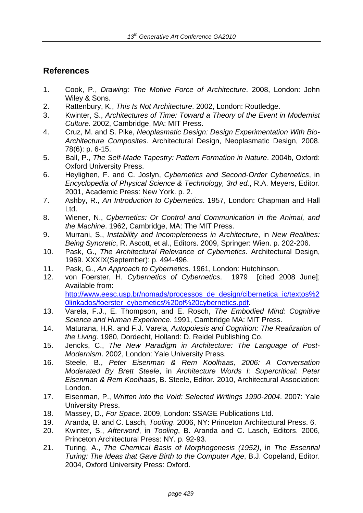# **References**

- 1. Cook, P., *Drawing: The Motive Force of Architecture*. 2008, London: John Wiley & Sons.
- 2. Rattenbury, K., *This Is Not Architecture*. 2002, London: Routledge.
- 3. Kwinter, S., *Architectures of Time: Toward a Theory of the Event in Modernist Culture*. 2002, Cambridge, MA: MIT Press.
- 4. Cruz, M. and S. Pike, *Neoplasmatic Design: Design Experimentation With Bio-Architecture Composites.* Architectural Design, Neoplasmatic Design, 2008. 78(6): p. 6-15.
- 5. Ball, P., *The Self-Made Tapestry: Pattern Formation in Nature*. 2004b, Oxford: Oxford University Press.
- 6. Heylighen, F. and C. Joslyn, *Cybernetics and Second-Order Cybernetics*, in *Encyclopedia of Physical Science & Technology, 3rd ed.*, R.A. Meyers, Editor. 2001, Academic Press: New York. p. 2.
- 7. Ashby, R., *An Introduction to Cybernetics*. 1957, London: Chapman and Hall Ltd.
- 8. Wiener, N., *Cybernetics: Or Control and Communication in the Animal, and the Machine*. 1962, Cambridge, MA: The MIT Press.
- 9. Murrani, S., *Instability and Incompleteness in Architecture*, in *New Realities: Being Syncretic*, R. Ascott, et al., Editors. 2009, Springer: Wien. p. 202-206.
- 10. Pask, G., *The Architectural Relevance of Cybernetics.* Architectural Design, 1969. XXXIX(September): p. 494-496.
- 11. Pask, G., *An Approach to Cybernetics*. 1961, London: Hutchinson.
- 12. von Foerster, H. *Cybernetics of Cybernetics*. 1979 [cited 2008 June]; Available from: http://www.eesc.usp.br/nomads/processos\_de\_design/cibernetica\_ic/textos%2

0linkados/foerster\_cybernetics%20of%20cybernetics.pdf.

- 13. Varela, F.J., E. Thompson, and E. Rosch, *The Embodied Mind: Cognitive Science and Human Experience*. 1991, Cambridge MA: MIT Press.
- 14. Maturana, H.R. and F.J. Varela, *Autopoiesis and Cognition: The Realization of the Living*. 1980, Dordecht, Holland: D. Reidel Publishing Co.
- 15. Jencks, C., *The New Paradigm in Architecture: The Language of Post-Modernism*. 2002, London: Yale University Press.
- 16. Steele, B., *Peter Eisenman & Rem Koolhaas, 2006: A Conversation Moderated By Brett Steele*, in *Architecture Words I: Supercritical: Peter Eisenman & Rem Koolhaas*, B. Steele, Editor. 2010, Architectural Association: London.
- 17. Eisenman, P., *Written into the Void: Selected Writings 1990-2004*. 2007: Yale University Press.
- 18. Massey, D., *For Space*. 2009, London: SSAGE Publications Ltd.
- 19. Aranda, B. and C. Lasch, *Tooling*. 2006, NY: Princeton Architectural Press. 6.
- 20. Kwinter, S., *Afterword*, in *Tooling*, B. Aranda and C. Lasch, Editors. 2006, Princeton Architectural Press: NY. p. 92-93.
- 21. Turing, A., *The Chemical Basis of Morphogenesis (1952)*, in *The Essential Turing: The Ideas that Gave Birth to the Computer Age*, B.J. Copeland, Editor. 2004, Oxford University Press: Oxford.